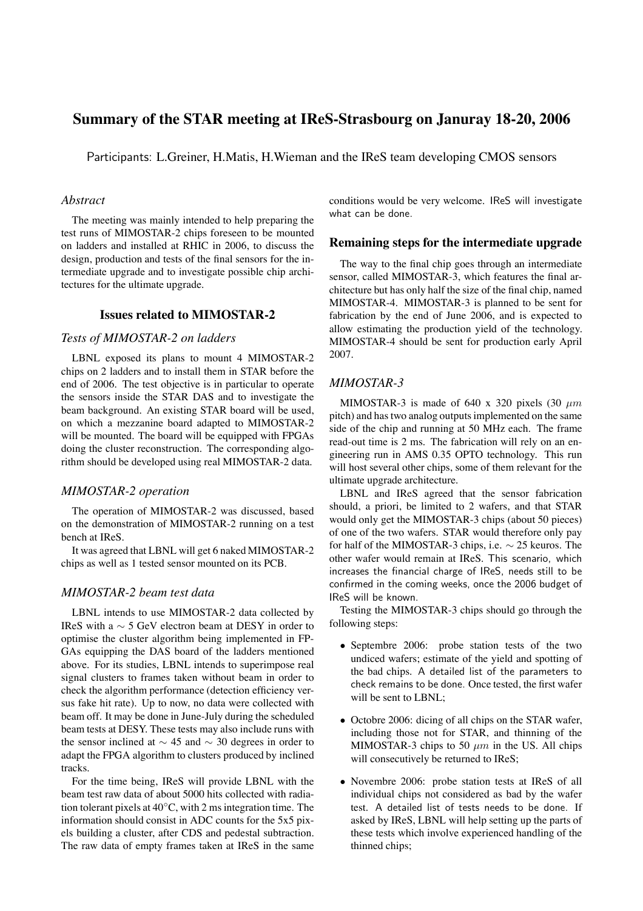# **Summary of the STAR meeting at IReS-Strasbourg on Januray 18-20, 2006**

Participants: L.Greiner, H.Matis, H.Wieman and the IReS team developing CMOS sensors

#### *Abstract*

The meeting was mainly intended to help preparing the test runs of MIMOSTAR-2 chips foreseen to be mounted on ladders and installed at RHIC in 2006, to discuss the design, production and tests of the final sensors for the intermediate upgrade and to investigate possible chip architectures for the ultimate upgrade.

# **Issues related to MIMOSTAR-2**

# *Tests of MIMOSTAR-2 on ladders*

LBNL exposed its plans to mount 4 MIMOSTAR-2 chips on 2 ladders and to install them in STAR before the end of 2006. The test objective is in particular to operate the sensors inside the STAR DAS and to investigate the beam background. An existing STAR board will be used, on which a mezzanine board adapted to MIMOSTAR-2 will be mounted. The board will be equipped with FPGAs doing the cluster reconstruction. The corresponding algorithm should be developed using real MIMOSTAR-2 data.

#### *MIMOSTAR-2 operation*

The operation of MIMOSTAR-2 was discussed, based on the demonstration of MIMOSTAR-2 running on a test bench at IReS.

It was agreed that LBNL will get 6 naked MIMOSTAR-2 chips as well as 1 tested sensor mounted on its PCB.

# *MIMOSTAR-2 beam test data*

LBNL intends to use MIMOSTAR-2 data collected by IReS with a ∼ 5 GeV electron beam at DESY in order to optimise the cluster algorithm being implemented in FP-GAs equipping the DAS board of the ladders mentioned above. For its studies, LBNL intends to superimpose real signal clusters to frames taken without beam in order to check the algorithm performance (detection efficiency versus fake hit rate). Up to now, no data were collected with beam off. It may be done in June-July during the scheduled beam tests at DESY. These tests may also include runs with the sensor inclined at  $\sim$  45 and  $\sim$  30 degrees in order to adapt the FPGA algorithm to clusters produced by inclined tracks.

For the time being, IReS will provide LBNL with the beam test raw data of about 5000 hits collected with radiation tolerant pixels at  $40 °C$ , with 2 ms integration time. The information should consist in ADC counts for the 5x5 pixels building a cluster, after CDS and pedestal subtraction. The raw data of empty frames taken at IReS in the same conditions would be very welcome. IReS will investigate what can be done.

#### **Remaining steps for the intermediate upgrade**

The way to the final chip goes through an intermediate sensor, called MIMOSTAR-3, which features the final architecture but has only half the size of the final chip, named MIMOSTAR-4. MIMOSTAR-3 is planned to be sent for fabrication by the end of June 2006, and is expected to allow estimating the production yield of the technology. MIMOSTAR-4 should be sent for production early April 2007.

#### *MIMOSTAR-3*

MIMOSTAR-3 is made of 640 x 320 pixels (30  $\mu$ m pitch) and has two analog outputs implemented on the same side of the chip and running at 50 MHz each. The frame read-out time is 2 ms. The fabrication will rely on an engineering run in AMS 0.35 OPTO technology. This run will host several other chips, some of them relevant for the ultimate upgrade architecture.

LBNL and IReS agreed that the sensor fabrication should, a priori, be limited to 2 wafers, and that STAR would only get the MIMOSTAR-3 chips (about 50 pieces) of one of the two wafers. STAR would therefore only pay for half of the MIMOSTAR-3 chips, i.e.  $\sim$  25 keuros. The other wafer would remain at IReS. This scenario, which increases the financial charge of IReS, needs still to be confirmed in the coming weeks, once the 2006 budget of IReS will be known.

Testing the MIMOSTAR-3 chips should go through the following steps:

- Septembre 2006: probe station tests of the two undiced wafers; estimate of the yield and spotting of the bad chips. A detailed list of the parameters to check remains to be done. Once tested, the first wafer will be sent to LBNL;
- Octobre 2006: dicing of all chips on the STAR wafer, including those not for STAR, and thinning of the MIMOSTAR-3 chips to 50  $\mu$ m in the US. All chips will consecutively be returned to IReS;
- Novembre 2006: probe station tests at IReS of all individual chips not considered as bad by the wafer test. A detailed list of tests needs to be done. If asked by IReS, LBNL will help setting up the parts of these tests which involve experienced handling of the thinned chips;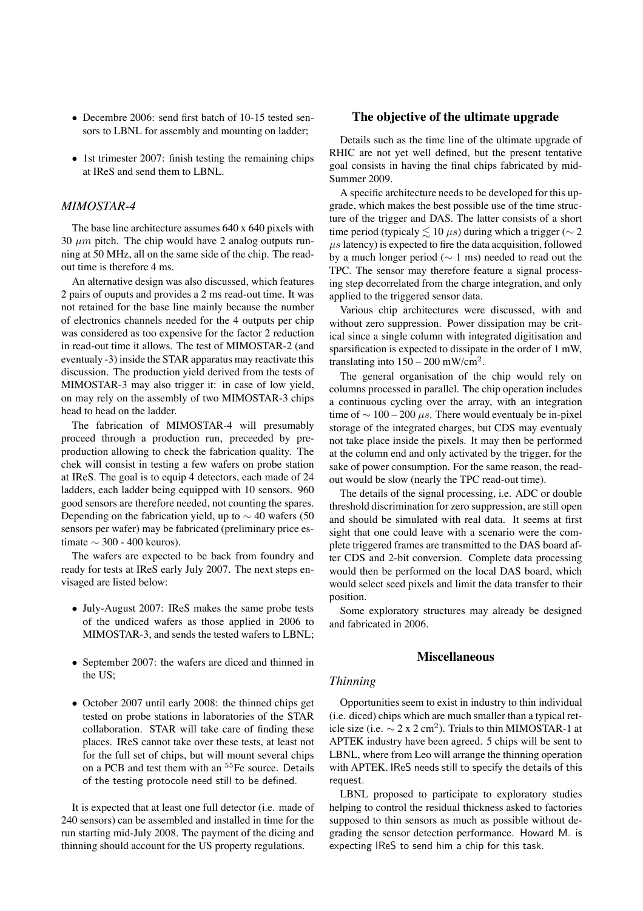- Decembre 2006: send first batch of 10-15 tested sensors to LBNL for assembly and mounting on ladder;
- 1st trimester 2007: finish testing the remaining chips at IReS and send them to LBNL.

### *MIMOSTAR-4*

The base line architecture assumes 640 x 640 pixels with 30  $\mu$ m pitch. The chip would have 2 analog outputs running at 50 MHz, all on the same side of the chip. The readout time is therefore 4 ms.

An alternative design was also discussed, which features 2 pairs of ouputs and provides a 2 ms read-out time. It was not retained for the base line mainly because the number of electronics channels needed for the 4 outputs per chip was considered as too expensive for the factor 2 reduction in read-out time it allows. The test of MIMOSTAR-2 (and eventualy -3) inside the STAR apparatus may reactivate this discussion. The production yield derived from the tests of MIMOSTAR-3 may also trigger it: in case of low yield, on may rely on the assembly of two MIMOSTAR-3 chips head to head on the ladder.

The fabrication of MIMOSTAR-4 will presumably proceed through a production run, preceeded by preproduction allowing to check the fabrication quality. The chek will consist in testing a few wafers on probe station at IReS. The goal is to equip 4 detectors, each made of 24 ladders, each ladder being equipped with 10 sensors. 960 good sensors are therefore needed, not counting the spares. Depending on the fabrication yield, up to  $\sim$  40 wafers (50 sensors per wafer) may be fabricated (preliminary price estimate  $\sim$  300 - 400 keuros).

The wafers are expected to be back from foundry and ready for tests at IReS early July 2007. The next steps envisaged are listed below:

- July-August 2007: IReS makes the same probe tests of the undiced wafers as those applied in 2006 to MIMOSTAR-3, and sends the tested wafers to LBNL;
- September 2007: the wafers are diced and thinned in the US;
- October 2007 until early 2008: the thinned chips get tested on probe stations in laboratories of the STAR collaboration. STAR will take care of finding these places. IReS cannot take over these tests, at least not for the full set of chips, but will mount several chips on a PCB and test them with an <sup>55</sup>Fe source. Details of the testing protocole need still to be defined.

It is expected that at least one full detector (i.e. made of 240 sensors) can be assembled and installed in time for the run starting mid-July 2008. The payment of the dicing and thinning should account for the US property regulations.

### **The objective of the ultimate upgrade**

Details such as the time line of the ultimate upgrade of RHIC are not yet well defined, but the present tentative goal consists in having the final chips fabricated by mid-Summer 2009.

A specific architecture needs to be developed for this upgrade, which makes the best possible use of the time structure of the trigger and DAS. The latter consists of a short time period (typicaly  $\leq 10 \ \mu s$ ) during which a trigger ( $\sim 2$  $\mu$ s latency) is expected to fire the data acquisition, followed by a much longer period ( $\sim$  1 ms) needed to read out the TPC. The sensor may therefore feature a signal processing step decorrelated from the charge integration, and only applied to the triggered sensor data.

Various chip architectures were discussed, with and without zero suppression. Power dissipation may be critical since a single column with integrated digitisation and sparsification is expected to dissipate in the order of 1 mW, translating into  $150 - 200$  mW/cm<sup>2</sup>.

The general organisation of the chip would rely on columns processed in parallel. The chip operation includes a continuous cycling over the array, with an integration time of  $\sim 100 - 200 \mu s$ . There would eventualy be in-pixel storage of the integrated charges, but CDS may eventualy not take place inside the pixels. It may then be performed at the column end and only activated by the trigger, for the sake of power consumption. For the same reason, the readout would be slow (nearly the TPC read-out time).

The details of the signal processing, i.e. ADC or double threshold discrimination for zero suppression, are still open and should be simulated with real data. It seems at first sight that one could leave with a scenario were the complete triggered frames are transmitted to the DAS board after CDS and 2-bit conversion. Complete data processing would then be performed on the local DAS board, which would select seed pixels and limit the data transfer to their position.

Some exploratory structures may already be designed and fabricated in 2006.

### **Miscellaneous**

#### *Thinning*

Opportunities seem to exist in industry to thin individual (i.e. diced) chips which are much smaller than a typical reticle size (i.e.  $\sim$  2 x 2 cm<sup>2</sup>). Trials to thin MIMOSTAR-1 at APTEK industry have been agreed. 5 chips will be sent to LBNL, where from Leo will arrange the thinning operation with APTEK. IReS needs still to specify the details of this request.

LBNL proposed to participate to exploratory studies helping to control the residual thickness asked to factories supposed to thin sensors as much as possible without degrading the sensor detection performance. Howard M. is expecting IReS to send him a chip for this task.